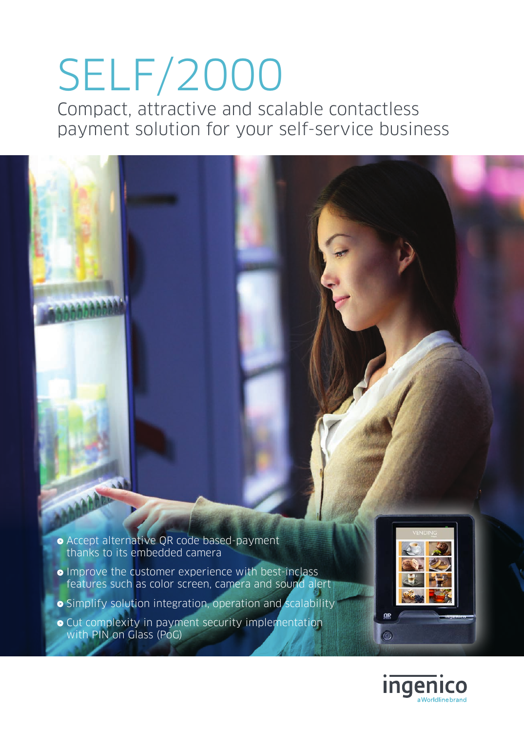# SELF/2000

Compact, attractive and scalable contactless payment solution for your self-service business



- **•** Improve the customer experience with best-inclass features such as color screen, camera and sound alert
- Simplify solution integration, operation and scalability
- **•** Cut complexity in payment security implementation with PIN on Glass (PoG)